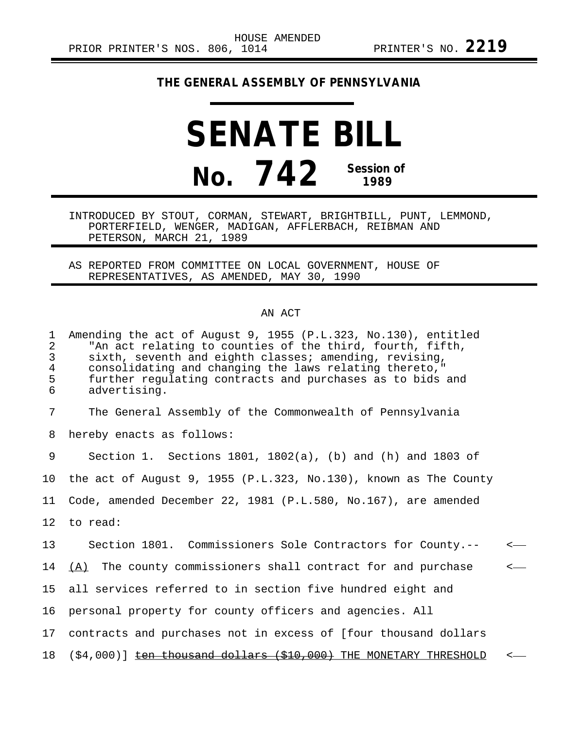## **THE GENERAL ASSEMBLY OF PENNSYLVANIA**

## **SENATE BILL No. 742 Session of 1989**

INTRODUCED BY STOUT, CORMAN, STEWART, BRIGHTBILL, PUNT, LEMMOND, PORTERFIELD, WENGER, MADIGAN, AFFLERBACH, REIBMAN AND PETERSON, MARCH 21, 1989

AS REPORTED FROM COMMITTEE ON LOCAL GOVERNMENT, HOUSE OF REPRESENTATIVES, AS AMENDED, MAY 30, 1990

## AN ACT

1 Amending the act of August 9, 1955 (P.L.323, No.130), entitled<br>2 TAn act relating to counties of the third, fourth, fifth, 2 The act relating to counties of the third, fourth, fifth,<br>3 Sixth, seventh and eighth classes; amending, revising, 3 sixth, seventh and eighth classes; amending, revising, 4 consolidating and changing the laws relating thereto, 1<br>5 further regulating contracts and purchases as to bids 5 further regulating contracts and purchases as to bids and<br>6 advertising. advertising.

7 The General Assembly of the Commonwealth of Pennsylvania

8 hereby enacts as follows:

9 Section 1. Sections 1801, 1802(a), (b) and (h) and 1803 of 10 the act of August 9, 1955 (P.L.323, No.130), known as The County 11 Code, amended December 22, 1981 (P.L.580, No.167), are amended 12 to read: 13 Section 1801. Commissioners Sole Contractors for County.-- < 14  $(A)$  The county commissioners shall contract for and purchase  $\leftarrow$ 15 all services referred to in section five hundred eight and 16 personal property for county officers and agencies. All 17 contracts and purchases not in excess of [four thousand dollars 18 (\$4,000)] ten thousand dollars (\$10,000) THE MONETARY THRESHOLD <-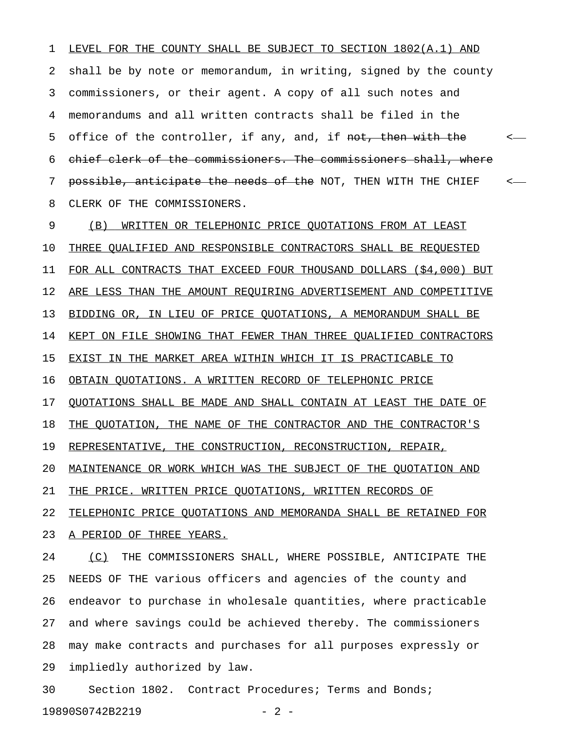1 LEVEL FOR THE COUNTY SHALL BE SUBJECT TO SECTION 1802(A.1) AND 2 shall be by note or memorandum, in writing, signed by the county 3 commissioners, or their agent. A copy of all such notes and 4 memorandums and all written contracts shall be filed in the 5 office of the controller, if any, and, if <del>not, then with the</del>  $\leftarrow$ 6 chief clerk of the commissioners. The commissioners shall, where 7 <del>possible, anticipate the needs of the</del> NOT, THEN WITH THE CHIEF  $\sim$ 8 CLERK OF THE COMMISSIONERS.

9 (B) WRITTEN OR TELEPHONIC PRICE QUOTATIONS FROM AT LEAST 10 THREE QUALIFIED AND RESPONSIBLE CONTRACTORS SHALL BE REQUESTED 11 FOR ALL CONTRACTS THAT EXCEED FOUR THOUSAND DOLLARS (\$4,000) BUT 12 ARE LESS THAN THE AMOUNT REQUIRING ADVERTISEMENT AND COMPETITIVE 13 BIDDING OR, IN LIEU OF PRICE QUOTATIONS, A MEMORANDUM SHALL BE 14 KEPT ON FILE SHOWING THAT FEWER THAN THREE QUALIFIED CONTRACTORS 15 EXIST IN THE MARKET AREA WITHIN WHICH IT IS PRACTICABLE TO 16 OBTAIN QUOTATIONS. A WRITTEN RECORD OF TELEPHONIC PRICE 17 QUOTATIONS SHALL BE MADE AND SHALL CONTAIN AT LEAST THE DATE OF 18 THE QUOTATION, THE NAME OF THE CONTRACTOR AND THE CONTRACTOR'S 19 REPRESENTATIVE, THE CONSTRUCTION, RECONSTRUCTION, REPAIR, 20 MAINTENANCE OR WORK WHICH WAS THE SUBJECT OF THE QUOTATION AND 21 THE PRICE. WRITTEN PRICE QUOTATIONS, WRITTEN RECORDS OF 22 TELEPHONIC PRICE QUOTATIONS AND MEMORANDA SHALL BE RETAINED FOR 23 A PERIOD OF THREE YEARS.

24 (C) THE COMMISSIONERS SHALL, WHERE POSSIBLE, ANTICIPATE THE 25 NEEDS OF THE various officers and agencies of the county and 26 endeavor to purchase in wholesale quantities, where practicable 27 and where savings could be achieved thereby. The commissioners 28 may make contracts and purchases for all purposes expressly or 29 impliedly authorized by law.

30 Section 1802. Contract Procedures; Terms and Bonds; 19890S0742B2219 - 2 -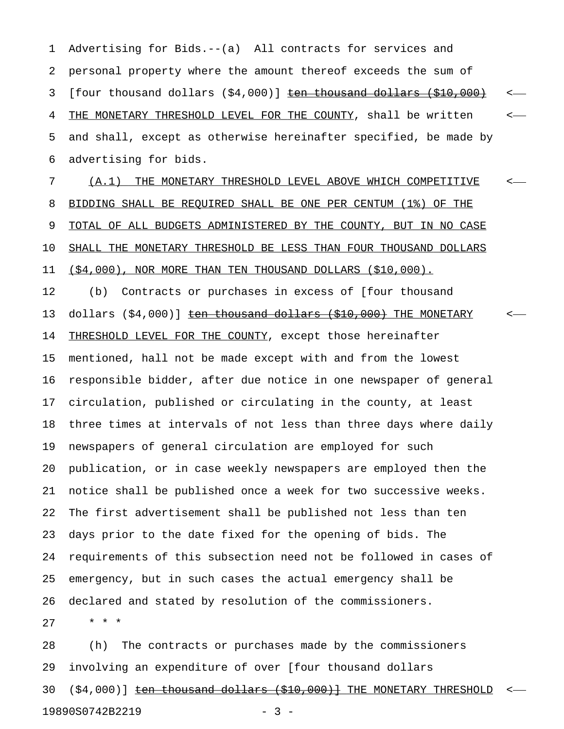1 Advertising for Bids.--(a) All contracts for services and 2 personal property where the amount thereof exceeds the sum of 3 [four thousand dollars  $(54,000)$ ]  $ten$  thousand dollars  $(510,000)$  <  $-$ </u> 4 THE MONETARY THRESHOLD LEVEL FOR THE COUNTY, shall be written  $\sim$ 5 and shall, except as otherwise hereinafter specified, be made by 6 advertising for bids.

7 (A.1) THE MONETARY THRESHOLD LEVEL ABOVE WHICH COMPETITIVE  $\leq$ 8 BIDDING SHALL BE REQUIRED SHALL BE ONE PER CENTUM (1%) OF THE 9 TOTAL OF ALL BUDGETS ADMINISTERED BY THE COUNTY, BUT IN NO CASE 10 SHALL THE MONETARY THRESHOLD BE LESS THAN FOUR THOUSAND DOLLARS 11 (\$4,000), NOR MORE THAN TEN THOUSAND DOLLARS (\$10,000).

12 (b) Contracts or purchases in excess of [four thousand 13 dollars (\$4,000)] ten thousand dollars (\$10,000) THE MONETARY 14 THRESHOLD LEVEL FOR THE COUNTY, except those hereinafter 15 mentioned, hall not be made except with and from the lowest 16 responsible bidder, after due notice in one newspaper of general 17 circulation, published or circulating in the county, at least 18 three times at intervals of not less than three days where daily 19 newspapers of general circulation are employed for such 20 publication, or in case weekly newspapers are employed then the 21 notice shall be published once a week for two successive weeks. 22 The first advertisement shall be published not less than ten 23 days prior to the date fixed for the opening of bids. The 24 requirements of this subsection need not be followed in cases of 25 emergency, but in such cases the actual emergency shall be 26 declared and stated by resolution of the commissioners.

27 \* \* \*

28 (h) The contracts or purchases made by the commissioners 29 involving an expenditure of over [four thousand dollars 30  $(S4,000)$ ] ten thousand dollars  $(S10,000)$  THE MONETARY THRESHOLD  $\leftarrow$ 19890S0742B2219 - 3 -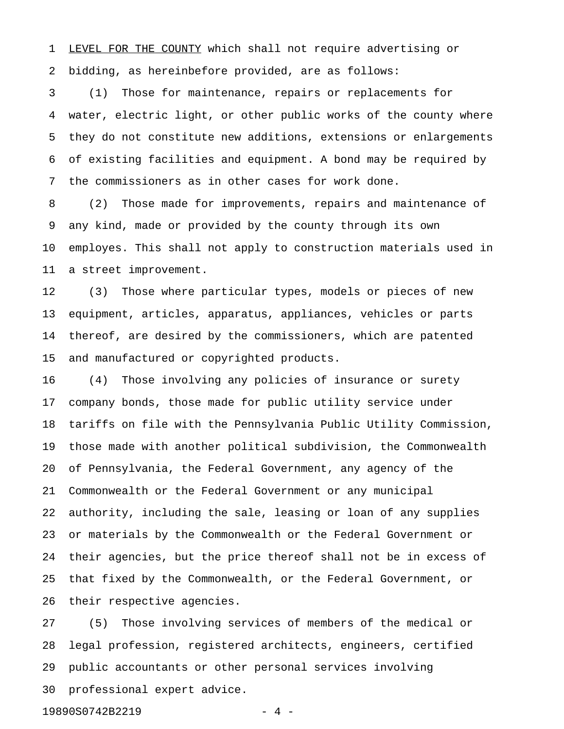1 LEVEL FOR THE COUNTY which shall not require advertising or 2 bidding, as hereinbefore provided, are as follows:

3 (1) Those for maintenance, repairs or replacements for 4 water, electric light, or other public works of the county where 5 they do not constitute new additions, extensions or enlargements 6 of existing facilities and equipment. A bond may be required by 7 the commissioners as in other cases for work done.

8 (2) Those made for improvements, repairs and maintenance of 9 any kind, made or provided by the county through its own 10 employes. This shall not apply to construction materials used in 11 a street improvement.

12 (3) Those where particular types, models or pieces of new 13 equipment, articles, apparatus, appliances, vehicles or parts 14 thereof, are desired by the commissioners, which are patented 15 and manufactured or copyrighted products.

16 (4) Those involving any policies of insurance or surety 17 company bonds, those made for public utility service under 18 tariffs on file with the Pennsylvania Public Utility Commission, 19 those made with another political subdivision, the Commonwealth 20 of Pennsylvania, the Federal Government, any agency of the 21 Commonwealth or the Federal Government or any municipal 22 authority, including the sale, leasing or loan of any supplies 23 or materials by the Commonwealth or the Federal Government or 24 their agencies, but the price thereof shall not be in excess of 25 that fixed by the Commonwealth, or the Federal Government, or 26 their respective agencies.

27 (5) Those involving services of members of the medical or 28 legal profession, registered architects, engineers, certified 29 public accountants or other personal services involving 30 professional expert advice.

19890S0742B2219 - 4 -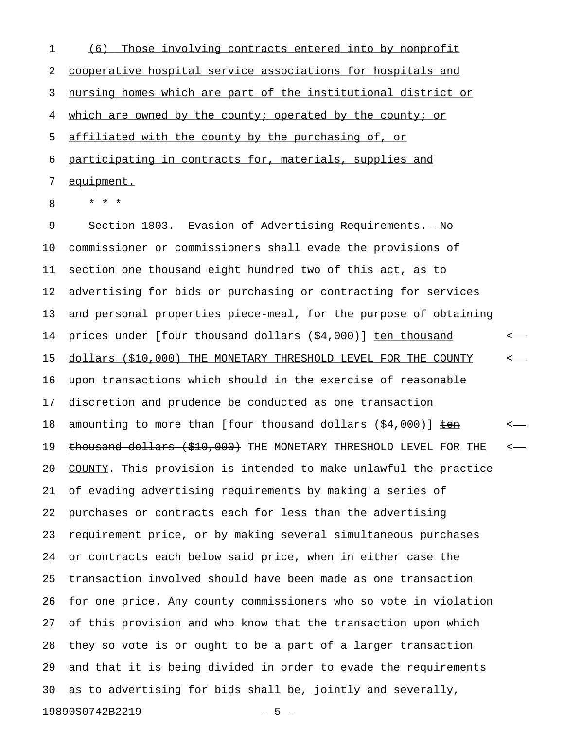1 (6) Those involving contracts entered into by nonprofit 2 cooperative hospital service associations for hospitals and 3 nursing homes which are part of the institutional district or 4 which are owned by the county; operated by the county; or 5 affiliated with the county by the purchasing of, or 6 participating in contracts for, materials, supplies and 7 equipment.

8 \* \* \*

9 Section 1803. Evasion of Advertising Requirements.--No 10 commissioner or commissioners shall evade the provisions of 11 section one thousand eight hundred two of this act, as to 12 advertising for bids or purchasing or contracting for services 13 and personal properties piece-meal, for the purpose of obtaining 14 prices under [four thousand dollars (\$4,000)] **ten thousand** < 15 <del>dollars (\$10,000)</del> THE MONETARY THRESHOLD LEVEL FOR THE COUNTY  $\sim$ 16 upon transactions which should in the exercise of reasonable 17 discretion and prudence be conducted as one transaction 18 amounting to more than [four thousand dollars  $(\$4,000)$ ]  $\frac{\text{teen}}{\text{ceen}}$  <-19 thousand dollars (\$10,000) THE MONETARY THRESHOLD LEVEL FOR THE <-20 COUNTY. This provision is intended to make unlawful the practice 21 of evading advertising requirements by making a series of 22 purchases or contracts each for less than the advertising 23 requirement price, or by making several simultaneous purchases 24 or contracts each below said price, when in either case the 25 transaction involved should have been made as one transaction 26 for one price. Any county commissioners who so vote in violation 27 of this provision and who know that the transaction upon which 28 they so vote is or ought to be a part of a larger transaction 29 and that it is being divided in order to evade the requirements 30 as to advertising for bids shall be, jointly and severally, 19890S0742B2219 - 5 -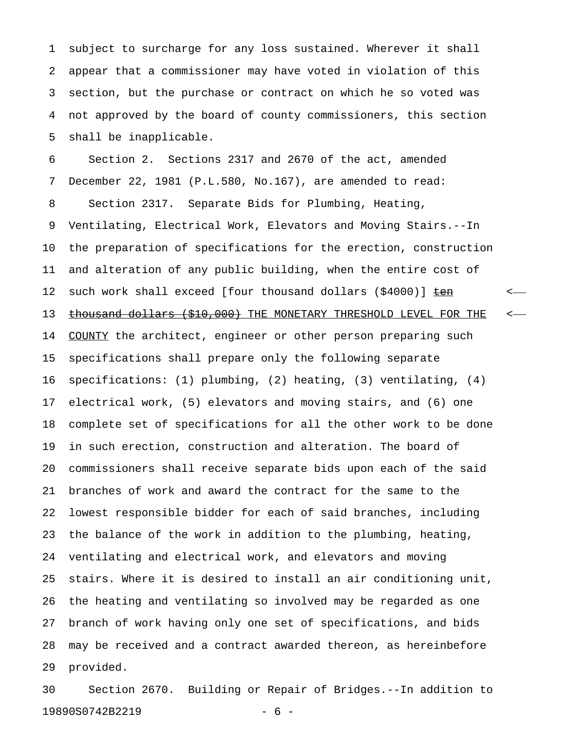1 subject to surcharge for any loss sustained. Wherever it shall 2 appear that a commissioner may have voted in violation of this 3 section, but the purchase or contract on which he so voted was 4 not approved by the board of county commissioners, this section 5 shall be inapplicable.

6 Section 2. Sections 2317 and 2670 of the act, amended 7 December 22, 1981 (P.L.580, No.167), are amended to read: 8 Section 2317. Separate Bids for Plumbing, Heating, 9 Ventilating, Electrical Work, Elevators and Moving Stairs.--In 10 the preparation of specifications for the erection, construction 11 and alteration of any public building, when the entire cost of 12 such work shall exceed [four thousand dollars (\$4000)]  $ten$  <-</u> 13 thousand dollars (\$10,000) THE MONETARY THRESHOLD LEVEL FOR THE <-14 COUNTY the architect, engineer or other person preparing such 15 specifications shall prepare only the following separate 16 specifications: (1) plumbing, (2) heating, (3) ventilating, (4) 17 electrical work, (5) elevators and moving stairs, and (6) one 18 complete set of specifications for all the other work to be done 19 in such erection, construction and alteration. The board of 20 commissioners shall receive separate bids upon each of the said 21 branches of work and award the contract for the same to the 22 lowest responsible bidder for each of said branches, including 23 the balance of the work in addition to the plumbing, heating, 24 ventilating and electrical work, and elevators and moving 25 stairs. Where it is desired to install an air conditioning unit, 26 the heating and ventilating so involved may be regarded as one 27 branch of work having only one set of specifications, and bids 28 may be received and a contract awarded thereon, as hereinbefore 29 provided.

30 Section 2670. Building or Repair of Bridges.--In addition to 19890S0742B2219 - 6 -